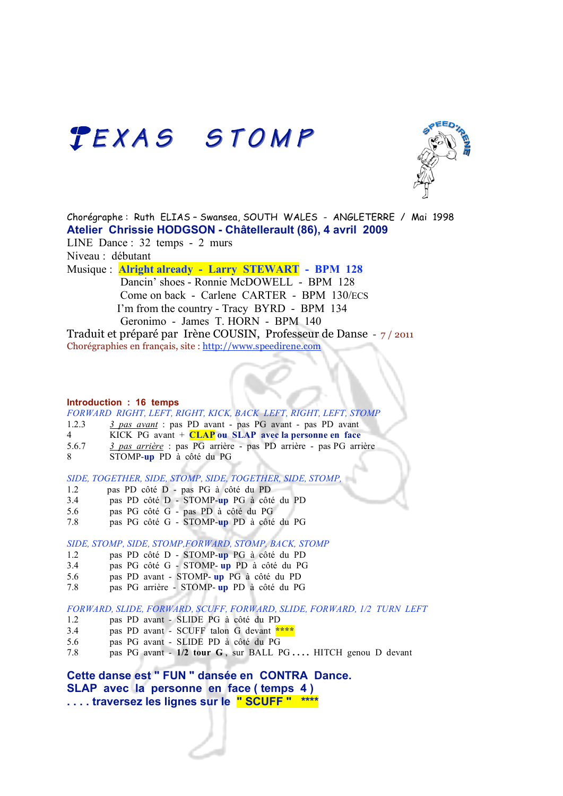## TEXAS STOMP



Chorégraphe : Ruth ELIAS – Swansea, SOUTH WALES - ANGLETERRE / Mai 1998 **Atelier Chrissie HODGSON - Châtellerault (86), 4 avril 2009** LINE Dance : 32 temps - 2 murs Niveau : débutant Musique : **Alright already - Larry STEWART - BPM 128** Dancin' shoes - Ronnie McDOWELL - BPM 128 Come on back - Carlene CARTER - BPM 130/ECS I'm from the country - Tracy BYRD - BPM 134

 Geronimo - James T. HORN - BPM 140 Traduit et préparé par Irène COUSIN, Professeur de Danse - 7 / 2011 Chorégraphies en français, site : http://www.speedirene.com

#### **Introduction : 16 temps**

*FORWARD RIGHT, LEFT, RIGHT, KICK, BACK LEFT, RIGHT, LEFT, STOMP*

- 1.2.3 *3 pas avant* : pas PD avant pas PG avant pas PD avant
- 4 KICK PG avant + **CLAP ou SLAP avec la personne en face**
- 5.6.7 *3 pas arrière* : pas PG arrière pas PD arrière pas PG arrière
- 8 STOMP-**up** PD à côté du PG

*SIDE, TOGETHER, SIDE, STOMP, SIDE, TOGETHER, SIDE, STOMP,*

- 1.2 pas PD côté D pas PG à côté du PD
- 3.4 pas PD côté D STOMP-**up** PG à côté du PD
- 5.6 pas PG côté G pas PD à côté du PG
- 7.8 pas PG côté G STOMP-**up** PD à côté du PG

*SIDE, STOMP, SIDE, STOMP,FORWARD, STOMP, BACK, STOMP*

- 1.2 pas PD côté D STOMP-**up** PG à côté du PD
- 3.4 pas PG côté G STOMP- **up** PD à côté du PG
- 5.6 pas PD avant STOMP- **up** PG à côté du PD
- 7.8 pas PG arrière STOMP- **up** PD à côté du PG

*FORWARD, SLIDE, FORWARD, SCUFF, FORWARD, SLIDE, FORWARD, 1/2 TURN LEFT*

- 1.2 pas PD avant SLIDE PG à côté du PD
- 3.4 pas PD avant SCUFF talon G devant **\*\*\*\***
- 5.6 pas PG avant SLIDE PD à côté du PG
- 7.8 pas PG avant **1/2 tour G** , sur BALL PG **. . . .** HITCH genou D devant

**Cette danse est " FUN " dansée en CONTRA Dance. SLAP avec la personne en face ( temps 4 ) . . . . traversez les lignes sur le " SCUFF " \*\*\*\***